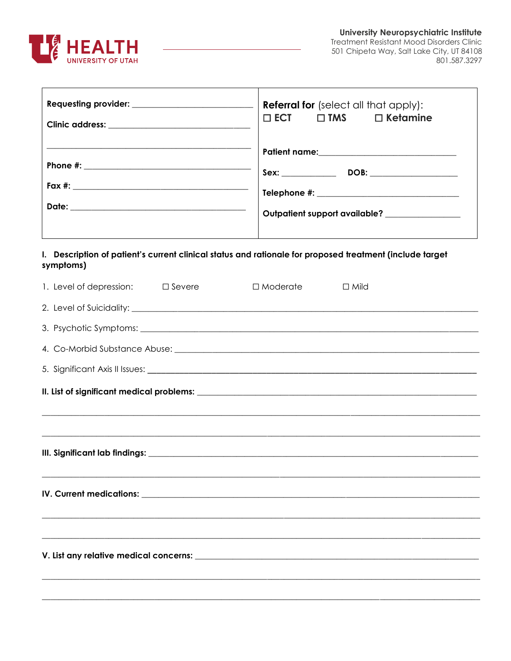

٦

| Requesting provider: ___________________________                                                                      | <b>Referral for</b> (select all that apply):<br>$\square$ ECT<br>$\square$ TMS $\square$ Ketamine<br>Outpatient support available? ______________ |
|-----------------------------------------------------------------------------------------------------------------------|---------------------------------------------------------------------------------------------------------------------------------------------------|
| I. Description of patient's current clinical status and rationale for proposed treatment (include target<br>symptoms) |                                                                                                                                                   |
| 1. Level of depression: $\square$ Severe                                                                              | $\Box$ Moderate<br>$\Box$ Mild                                                                                                                    |
|                                                                                                                       |                                                                                                                                                   |
|                                                                                                                       |                                                                                                                                                   |
|                                                                                                                       |                                                                                                                                                   |
|                                                                                                                       |                                                                                                                                                   |
|                                                                                                                       |                                                                                                                                                   |
|                                                                                                                       |                                                                                                                                                   |
|                                                                                                                       |                                                                                                                                                   |
|                                                                                                                       |                                                                                                                                                   |
| IV. Current medications:                                                                                              |                                                                                                                                                   |
|                                                                                                                       |                                                                                                                                                   |
|                                                                                                                       |                                                                                                                                                   |
|                                                                                                                       |                                                                                                                                                   |